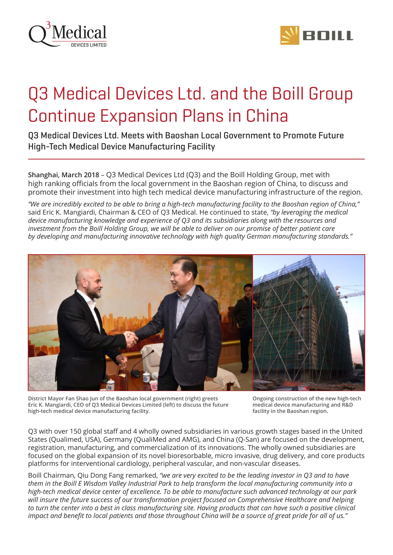



# Q3 Medical Devices Ltd. and the Boill Group Continue Expansion Plans in China

Q3 Medical Devices Ltd. Meets with Baoshan Local Government to Promote Future High-Tech Medical Device Manufacturing Facility

**Shanghai, March 2018** – Q3 Medical Devices Ltd (Q3) and the Boill Holding Group, met with high ranking officials from the local government in the Baoshan region of China, to discuss and promote their investment into high tech medical device manufacturing infrastructure of the region.

*"We are incredibly excited to be able to bring a high-tech manufacturing facility to the Baoshan region of China,"* said Eric K. Mangiardi, Chairman & CEO of Q3 Medical. He continued to state, *"by leveraging the medical device manufacturing knowledge and experience of Q3 and its subsidiaries along with the resources and investment from the Boill Holding Group, we will be able to deliver on our promise of better patient care by developing and manufacturing innovative technology with high quality German manufacturing standards."*



**District Mayor Fan Shao Jun of the Baoshan local government (right) greets Eric K. Mangiardi, CEO of Q3 Medical Devices Limited (left) to discuss the future high-tech medical device manufacturing facility.**

**Ongoing construction of the new high-tech medical device manufacturing and R&D facility in the Baoshan region.**

Q3 with over 150 global staff and 4 wholly owned subsidiaries in various growth stages based in the United States (Qualimed, USA), Germany (QualiMed and AMG), and China (Q-San) are focused on the development, registration, manufacturing, and commercialization of its innovations. The wholly owned subsidiaries are focused on the global expansion of its novel bioresorbable, micro invasive, drug delivery, and core products platforms for interventional cardiology, peripheral vascular, and non-vascular diseases.

Boill Chairman, Qiu Dong Fang remarked, *"we are very excited to be the leading investor in Q3 and to have them in the Boill E Wisdom Valley Industrial Park to help transform the local manufacturing community into a high-tech medical device center of excellence. To be able to manufacture such advanced technology at our park will insure the future success of our transformation project focused on Comprehensive Healthcare and helping to turn the center into a best in class manufacturing site. Having products that can have such a positive clinical impact and benefit to local patients and those throughout China will be a source of great pride for all of us."*